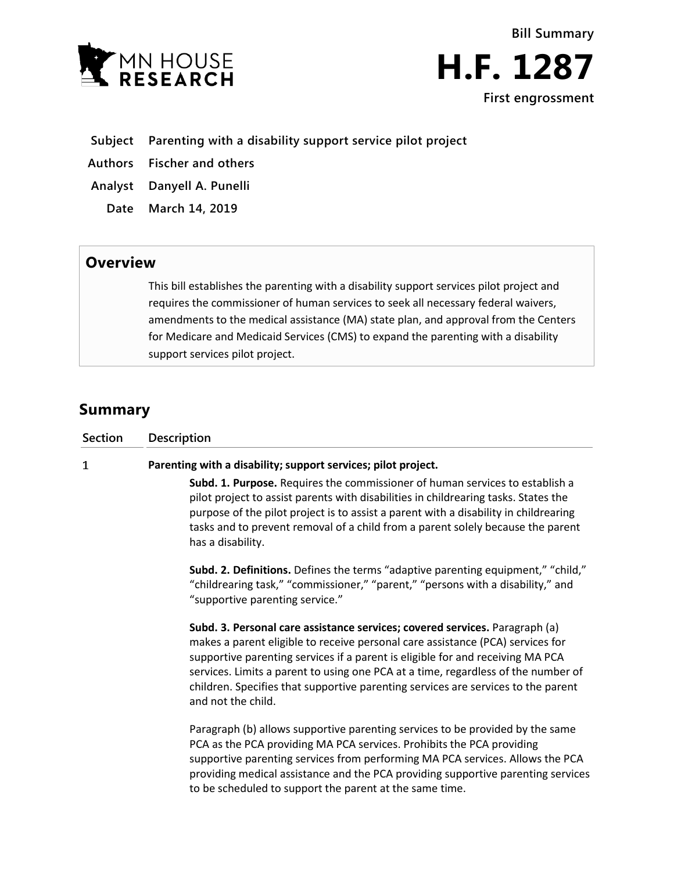



## **Subject Parenting with a disability support service pilot project**

**Authors Fischer and others**

**Analyst Danyell A. Punelli**

**Date March 14, 2019**

# **Overview**

This bill establishes the parenting with a disability support services pilot project and requires the commissioner of human services to seek all necessary federal waivers, amendments to the medical assistance (MA) state plan, and approval from the Centers for Medicare and Medicaid Services (CMS) to expand the parenting with a disability support services pilot project.

# **Summary**

| Section      | Description                                                                                                                                                                                                                                                                                                                                                                                                                                                                                                                                                                                                                                                                                                                                                                                                                                                                                                                                                                                                                                                                                       |
|--------------|---------------------------------------------------------------------------------------------------------------------------------------------------------------------------------------------------------------------------------------------------------------------------------------------------------------------------------------------------------------------------------------------------------------------------------------------------------------------------------------------------------------------------------------------------------------------------------------------------------------------------------------------------------------------------------------------------------------------------------------------------------------------------------------------------------------------------------------------------------------------------------------------------------------------------------------------------------------------------------------------------------------------------------------------------------------------------------------------------|
| $\mathbf{1}$ | Parenting with a disability; support services; pilot project.<br>Subd. 1. Purpose. Requires the commissioner of human services to establish a<br>pilot project to assist parents with disabilities in childrearing tasks. States the<br>purpose of the pilot project is to assist a parent with a disability in childrearing<br>tasks and to prevent removal of a child from a parent solely because the parent<br>has a disability.<br>Subd. 2. Definitions. Defines the terms "adaptive parenting equipment," "child,"<br>"childrearing task," "commissioner," "parent," "persons with a disability," and<br>"supportive parenting service."<br>Subd. 3. Personal care assistance services; covered services. Paragraph (a)<br>makes a parent eligible to receive personal care assistance (PCA) services for<br>supportive parenting services if a parent is eligible for and receiving MA PCA<br>services. Limits a parent to using one PCA at a time, regardless of the number of<br>children. Specifies that supportive parenting services are services to the parent<br>and not the child. |
|              | Paragraph (b) allows supportive parenting services to be provided by the same<br>PCA as the PCA providing MA PCA services. Prohibits the PCA providing<br>supportive parenting services from performing MA PCA services. Allows the PCA<br>providing medical assistance and the PCA providing supportive parenting services<br>to be scheduled to support the parent at the same time.                                                                                                                                                                                                                                                                                                                                                                                                                                                                                                                                                                                                                                                                                                            |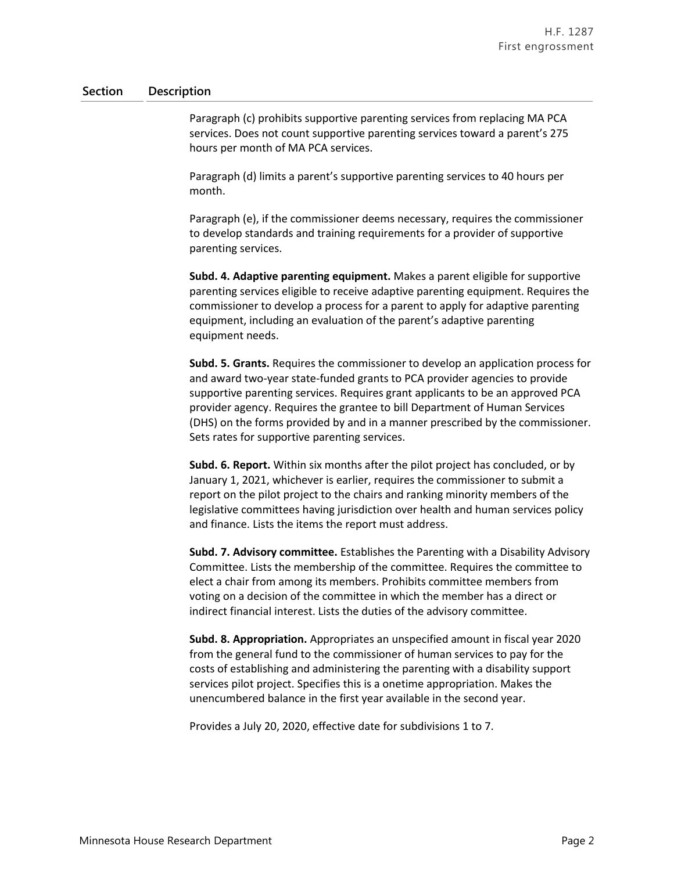#### **Section Description**

Paragraph (c) prohibits supportive parenting services from replacing MA PCA services. Does not count supportive parenting services toward a parent's 275 hours per month of MA PCA services.

Paragraph (d) limits a parent's supportive parenting services to 40 hours per month.

Paragraph (e), if the commissioner deems necessary, requires the commissioner to develop standards and training requirements for a provider of supportive parenting services.

**Subd. 4. Adaptive parenting equipment.** Makes a parent eligible for supportive parenting services eligible to receive adaptive parenting equipment. Requires the commissioner to develop a process for a parent to apply for adaptive parenting equipment, including an evaluation of the parent's adaptive parenting equipment needs.

**Subd. 5. Grants.** Requires the commissioner to develop an application process for and award two-year state-funded grants to PCA provider agencies to provide supportive parenting services. Requires grant applicants to be an approved PCA provider agency. Requires the grantee to bill Department of Human Services (DHS) on the forms provided by and in a manner prescribed by the commissioner. Sets rates for supportive parenting services.

**Subd. 6. Report.** Within six months after the pilot project has concluded, or by January 1, 2021, whichever is earlier, requires the commissioner to submit a report on the pilot project to the chairs and ranking minority members of the legislative committees having jurisdiction over health and human services policy and finance. Lists the items the report must address.

**Subd. 7. Advisory committee.** Establishes the Parenting with a Disability Advisory Committee. Lists the membership of the committee. Requires the committee to elect a chair from among its members. Prohibits committee members from voting on a decision of the committee in which the member has a direct or indirect financial interest. Lists the duties of the advisory committee.

**Subd. 8. Appropriation.** Appropriates an unspecified amount in fiscal year 2020 from the general fund to the commissioner of human services to pay for the costs of establishing and administering the parenting with a disability support services pilot project. Specifies this is a onetime appropriation. Makes the unencumbered balance in the first year available in the second year.

Provides a July 20, 2020, effective date for subdivisions 1 to 7.